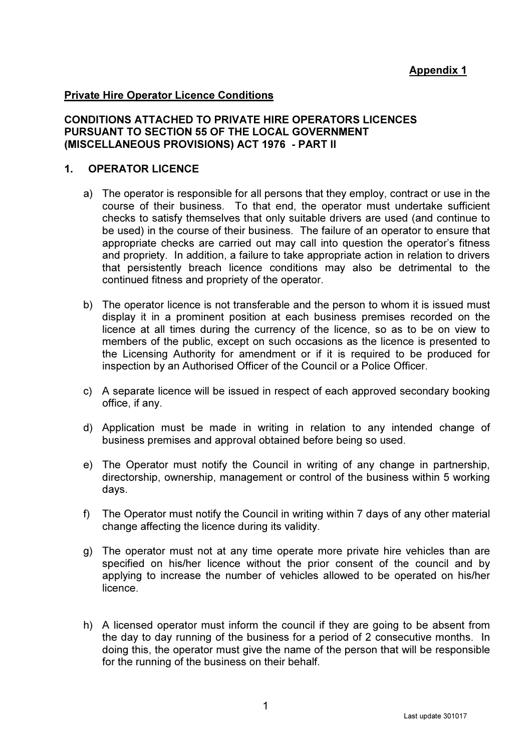# Appendix 1

#### Private Hire Operator Licence Conditions

### CONDITIONS ATTACHED TO PRIVATE HIRE OPERATORS LICENCES PURSUANT TO SECTION 55 OF THE LOCAL GOVERNMENT (MISCELLANEOUS PROVISIONS) ACT 1976 - PART II

#### 1. OPERATOR LICENCE

- a) The operator is responsible for all persons that they employ, contract or use in the course of their business. To that end, the operator must undertake sufficient checks to satisfy themselves that only suitable drivers are used (and continue to be used) in the course of their business. The failure of an operator to ensure that appropriate checks are carried out may call into question the operator's fitness and propriety. In addition, a failure to take appropriate action in relation to drivers that persistently breach licence conditions may also be detrimental to the continued fitness and propriety of the operator.
- b) The operator licence is not transferable and the person to whom it is issued must display it in a prominent position at each business premises recorded on the licence at all times during the currency of the licence, so as to be on view to members of the public, except on such occasions as the licence is presented to the Licensing Authority for amendment or if it is required to be produced for inspection by an Authorised Officer of the Council or a Police Officer.
- c) A separate licence will be issued in respect of each approved secondary booking office, if any.
- d) Application must be made in writing in relation to any intended change of business premises and approval obtained before being so used.
- e) The Operator must notify the Council in writing of any change in partnership, directorship, ownership, management or control of the business within 5 working days.
- f) The Operator must notify the Council in writing within 7 days of any other material change affecting the licence during its validity.
- g) The operator must not at any time operate more private hire vehicles than are specified on his/her licence without the prior consent of the council and by applying to increase the number of vehicles allowed to be operated on his/her licence.
- h) A licensed operator must inform the council if they are going to be absent from the day to day running of the business for a period of 2 consecutive months. In doing this, the operator must give the name of the person that will be responsible for the running of the business on their behalf.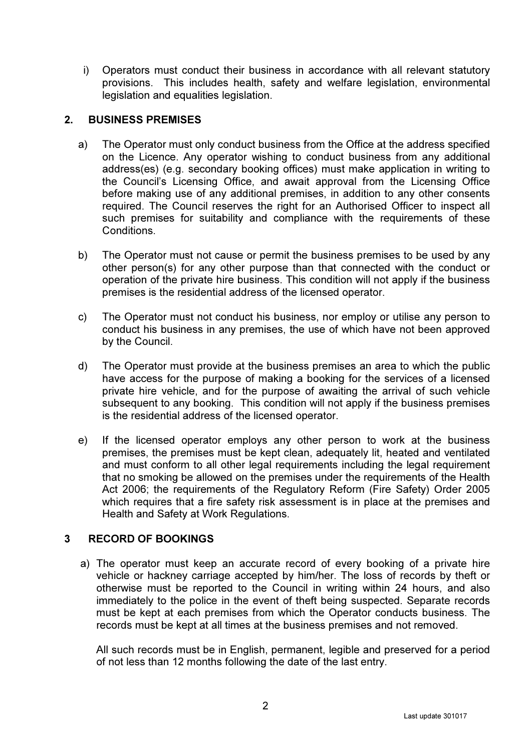i) Operators must conduct their business in accordance with all relevant statutory provisions. This includes health, safety and welfare legislation, environmental legislation and equalities legislation.

## 2. BUSINESS PREMISES

- a) The Operator must only conduct business from the Office at the address specified on the Licence. Any operator wishing to conduct business from any additional address(es) (e.g. secondary booking offices) must make application in writing to the Council's Licensing Office, and await approval from the Licensing Office before making use of any additional premises, in addition to any other consents required. The Council reserves the right for an Authorised Officer to inspect all such premises for suitability and compliance with the requirements of these Conditions.
- b) The Operator must not cause or permit the business premises to be used by any other person(s) for any other purpose than that connected with the conduct or operation of the private hire business. This condition will not apply if the business premises is the residential address of the licensed operator.
- c) The Operator must not conduct his business, nor employ or utilise any person to conduct his business in any premises, the use of which have not been approved by the Council.
- d) The Operator must provide at the business premises an area to which the public have access for the purpose of making a booking for the services of a licensed private hire vehicle, and for the purpose of awaiting the arrival of such vehicle subsequent to any booking. This condition will not apply if the business premises is the residential address of the licensed operator.
- e) If the licensed operator employs any other person to work at the business premises, the premises must be kept clean, adequately lit, heated and ventilated and must conform to all other legal requirements including the legal requirement that no smoking be allowed on the premises under the requirements of the Health Act 2006; the requirements of the Regulatory Reform (Fire Safety) Order 2005 which requires that a fire safety risk assessment is in place at the premises and Health and Safety at Work Regulations.

# 3 RECORD OF BOOKINGS

a) The operator must keep an accurate record of every booking of a private hire vehicle or hackney carriage accepted by him/her. The loss of records by theft or otherwise must be reported to the Council in writing within 24 hours, and also immediately to the police in the event of theft being suspected. Separate records must be kept at each premises from which the Operator conducts business. The records must be kept at all times at the business premises and not removed.

All such records must be in English, permanent, legible and preserved for a period of not less than 12 months following the date of the last entry.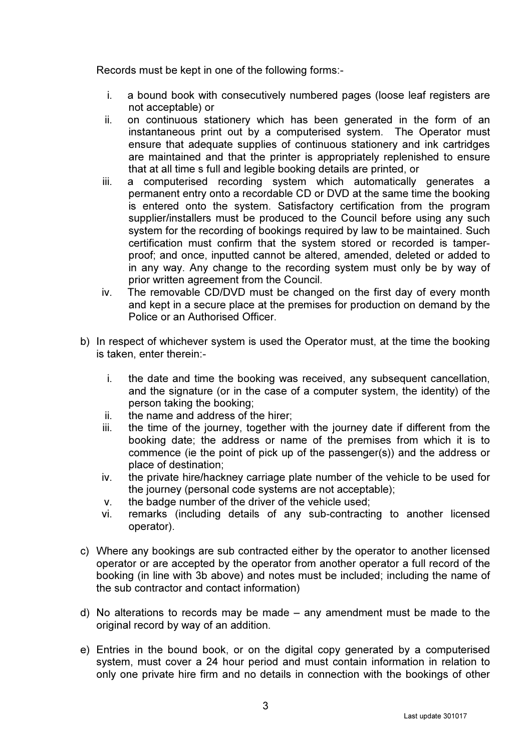Records must be kept in one of the following forms:-

- i. a bound book with consecutively numbered pages (loose leaf registers are not acceptable) or
- ii. on continuous stationery which has been generated in the form of an instantaneous print out by a computerised system. The Operator must ensure that adequate supplies of continuous stationery and ink cartridges are maintained and that the printer is appropriately replenished to ensure that at all time s full and legible booking details are printed, or
- iii. a computerised recording system which automatically generates a permanent entry onto a recordable CD or DVD at the same time the booking is entered onto the system. Satisfactory certification from the program supplier/installers must be produced to the Council before using any such system for the recording of bookings required by law to be maintained. Such certification must confirm that the system stored or recorded is tamperproof; and once, inputted cannot be altered, amended, deleted or added to in any way. Any change to the recording system must only be by way of prior written agreement from the Council.
- iv. The removable CD/DVD must be changed on the first day of every month and kept in a secure place at the premises for production on demand by the Police or an Authorised Officer.
- b) In respect of whichever system is used the Operator must, at the time the booking is taken, enter therein:
	- i. the date and time the booking was received, any subsequent cancellation, and the signature (or in the case of a computer system, the identity) of the person taking the booking;
	- ii. the name and address of the hirer;
	- iii. the time of the journey, together with the journey date if different from the booking date; the address or name of the premises from which it is to commence (ie the point of pick up of the passenger(s)) and the address or place of destination;
	- iv. the private hire/hackney carriage plate number of the vehicle to be used for the journey (personal code systems are not acceptable);
	- v. the badge number of the driver of the vehicle used;
	- vi. remarks (including details of any sub-contracting to another licensed operator).
- c) Where any bookings are sub contracted either by the operator to another licensed operator or are accepted by the operator from another operator a full record of the booking (in line with 3b above) and notes must be included; including the name of the sub contractor and contact information)
- d) No alterations to records may be made any amendment must be made to the original record by way of an addition.
- e) Entries in the bound book, or on the digital copy generated by a computerised system, must cover a 24 hour period and must contain information in relation to only one private hire firm and no details in connection with the bookings of other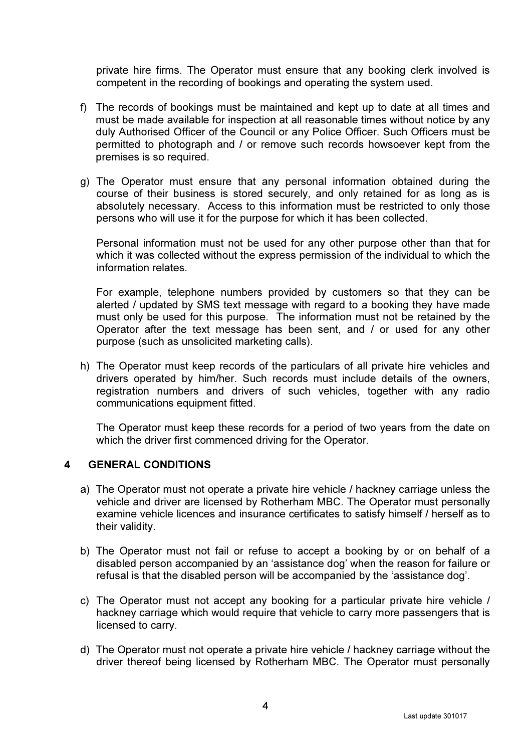private hire firms. The Operator must ensure that any booking clerk involved is competent in the recording of bookings and operating the system used.

- f) The records of bookings must be maintained and kept up to date at all times and must be made available for inspection at all reasonable times without notice by any duly Authorised Officer of the Council or any Police Officer. Such Officers must be permitted to photograph and / or remove such records howsoever kept from the premises is so required.
- g) The Operator must ensure that any personal information obtained during the course of their business is stored securely, and only retained for as long as is absolutely necessary. Access to this information must be restricted to only those persons who will use it for the purpose for which it has been collected.

 Personal information must not be used for any other purpose other than that for which it was collected without the express permission of the individual to which the information relates.

 For example, telephone numbers provided by customers so that they can be alerted / updated by SMS text message with regard to a booking they have made must only be used for this purpose. The information must not be retained by the Operator after the text message has been sent, and / or used for any other purpose (such as unsolicited marketing calls).

h) The Operator must keep records of the particulars of all private hire vehicles and drivers operated by him/her. Such records must include details of the owners, registration numbers and drivers of such vehicles, together with any radio communications equipment fitted.

The Operator must keep these records for a period of two years from the date on which the driver first commenced driving for the Operator.

### 4 GENERAL CONDITIONS

- a) The Operator must not operate a private hire vehicle / hackney carriage unless the vehicle and driver are licensed by Rotherham MBC. The Operator must personally examine vehicle licences and insurance certificates to satisfy himself / herself as to their validity.
- b) The Operator must not fail or refuse to accept a booking by or on behalf of a disabled person accompanied by an 'assistance dog' when the reason for failure or refusal is that the disabled person will be accompanied by the 'assistance dog'.
- c) The Operator must not accept any booking for a particular private hire vehicle / hackney carriage which would require that vehicle to carry more passengers that is licensed to carry.
- d) The Operator must not operate a private hire vehicle / hackney carriage without the driver thereof being licensed by Rotherham MBC. The Operator must personally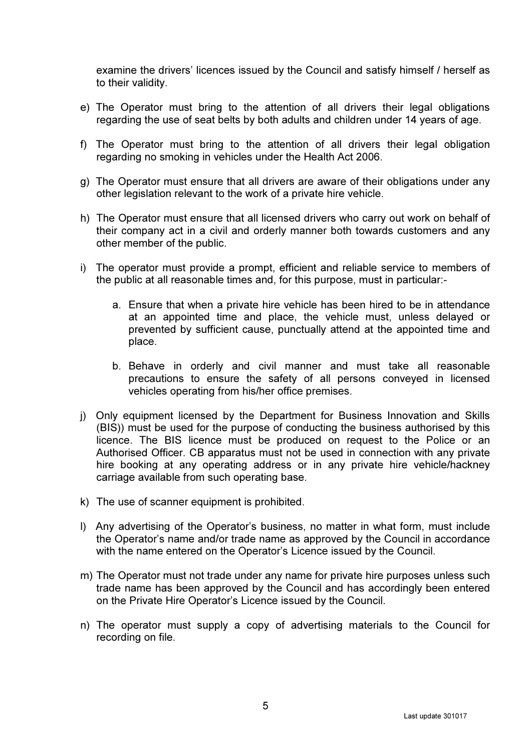examine the drivers' licences issued by the Council and satisfy himself / herself as to their validity.

- e) The Operator must bring to the attention of all drivers their legal obligations regarding the use of seat belts by both adults and children under 14 years of age.
- f) The Operator must bring to the attention of all drivers their legal obligation regarding no smoking in vehicles under the Health Act 2006.
- g) The Operator must ensure that all drivers are aware of their obligations under any other legislation relevant to the work of a private hire vehicle.
- h) The Operator must ensure that all licensed drivers who carry out work on behalf of their company act in a civil and orderly manner both towards customers and any other member of the public.
- i) The operator must provide a prompt, efficient and reliable service to members of the public at all reasonable times and, for this purpose, must in particular:
	- a. Ensure that when a private hire vehicle has been hired to be in attendance at an appointed time and place, the vehicle must, unless delayed or prevented by sufficient cause, punctually attend at the appointed time and place.
	- b. Behave in orderly and civil manner and must take all reasonable precautions to ensure the safety of all persons conveyed in licensed vehicles operating from his/her office premises.
- j) Only equipment licensed by the Department for Business Innovation and Skills (BIS)) must be used for the purpose of conducting the business authorised by this licence. The BIS licence must be produced on request to the Police or an Authorised Officer. CB apparatus must not be used in connection with any private hire booking at any operating address or in any private hire vehicle/hackney carriage available from such operating base.
- k) The use of scanner equipment is prohibited.
- l) Any advertising of the Operator's business, no matter in what form, must include the Operator's name and/or trade name as approved by the Council in accordance with the name entered on the Operator's Licence issued by the Council.
- m) The Operator must not trade under any name for private hire purposes unless such trade name has been approved by the Council and has accordingly been entered on the Private Hire Operator's Licence issued by the Council.
- n) The operator must supply a copy of advertising materials to the Council for recording on file.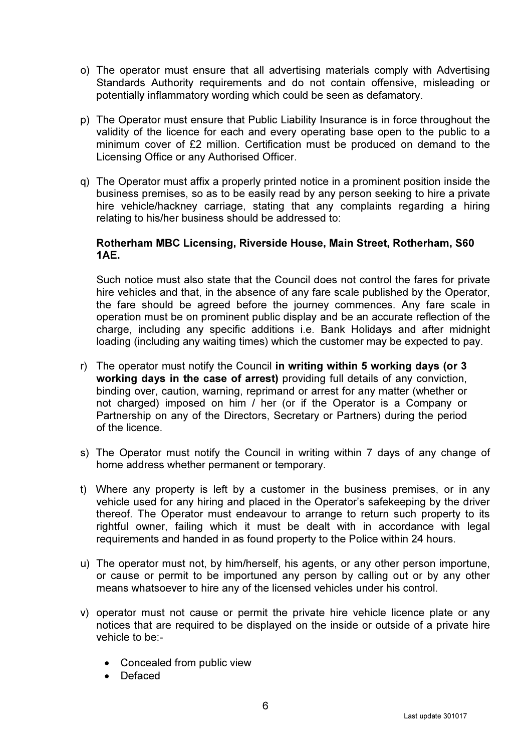- o) The operator must ensure that all advertising materials comply with Advertising Standards Authority requirements and do not contain offensive, misleading or potentially inflammatory wording which could be seen as defamatory.
- p) The Operator must ensure that Public Liability Insurance is in force throughout the validity of the licence for each and every operating base open to the public to a minimum cover of £2 million. Certification must be produced on demand to the Licensing Office or any Authorised Officer.
- q) The Operator must affix a properly printed notice in a prominent position inside the business premises, so as to be easily read by any person seeking to hire a private hire vehicle/hackney carriage, stating that any complaints regarding a hiring relating to his/her business should be addressed to:

## Rotherham MBC Licensing, Riverside House, Main Street, Rotherham, S60 1AE.

Such notice must also state that the Council does not control the fares for private hire vehicles and that, in the absence of any fare scale published by the Operator, the fare should be agreed before the journey commences. Any fare scale in operation must be on prominent public display and be an accurate reflection of the charge, including any specific additions i.e. Bank Holidays and after midnight loading (including any waiting times) which the customer may be expected to pay.

- r) The operator must notify the Council in writing within 5 working days (or 3 working days in the case of arrest) providing full details of any conviction, binding over, caution, warning, reprimand or arrest for any matter (whether or not charged) imposed on him / her (or if the Operator is a Company or Partnership on any of the Directors, Secretary or Partners) during the period of the licence.
- s) The Operator must notify the Council in writing within 7 days of any change of home address whether permanent or temporary.
- t) Where any property is left by a customer in the business premises, or in any vehicle used for any hiring and placed in the Operator's safekeeping by the driver thereof. The Operator must endeavour to arrange to return such property to its rightful owner, failing which it must be dealt with in accordance with legal requirements and handed in as found property to the Police within 24 hours.
- u) The operator must not, by him/herself, his agents, or any other person importune, or cause or permit to be importuned any person by calling out or by any other means whatsoever to hire any of the licensed vehicles under his control.
- v) operator must not cause or permit the private hire vehicle licence plate or any notices that are required to be displayed on the inside or outside of a private hire vehicle to be:-
	- Concealed from public view
	- Defaced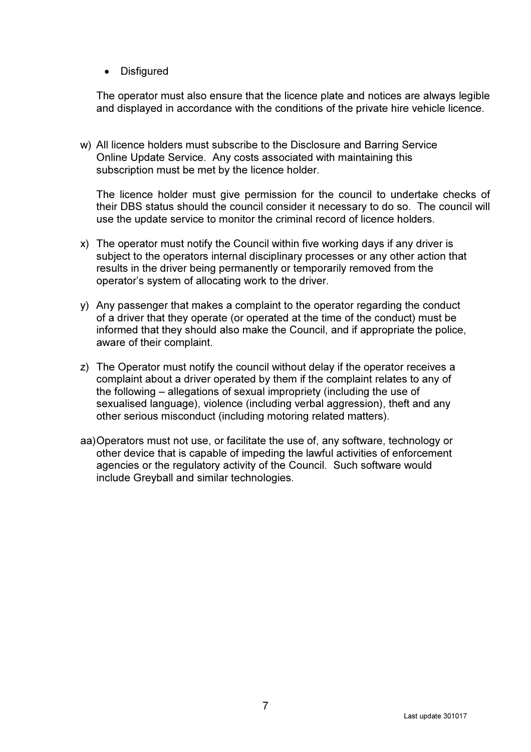• Disfigured

The operator must also ensure that the licence plate and notices are always legible and displayed in accordance with the conditions of the private hire vehicle licence.

w) All licence holders must subscribe to the Disclosure and Barring Service Online Update Service. Any costs associated with maintaining this subscription must be met by the licence holder.

The licence holder must give permission for the council to undertake checks of their DBS status should the council consider it necessary to do so. The council will use the update service to monitor the criminal record of licence holders.

- x) The operator must notify the Council within five working days if any driver is subject to the operators internal disciplinary processes or any other action that results in the driver being permanently or temporarily removed from the operator's system of allocating work to the driver.
- y) Any passenger that makes a complaint to the operator regarding the conduct of a driver that they operate (or operated at the time of the conduct) must be informed that they should also make the Council, and if appropriate the police, aware of their complaint.
- z) The Operator must notify the council without delay if the operator receives a complaint about a driver operated by them if the complaint relates to any of the following – allegations of sexual impropriety (including the use of sexualised language), violence (including verbal aggression), theft and any other serious misconduct (including motoring related matters).
- aa) Operators must not use, or facilitate the use of, any software, technology or other device that is capable of impeding the lawful activities of enforcement agencies or the regulatory activity of the Council. Such software would include Greyball and similar technologies.